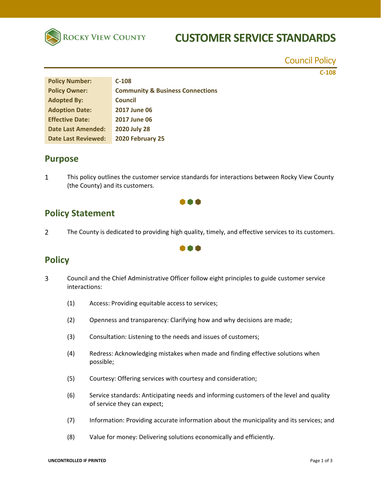

# **CUSTOMER SERVICE STANDARDS**

Council Policy

**C‐108**

| <b>Policy Number:</b>      | $C-108$                                     |
|----------------------------|---------------------------------------------|
| <b>Policy Owner:</b>       | <b>Community &amp; Business Connections</b> |
| <b>Adopted By:</b>         | <b>Council</b>                              |
| <b>Adoption Date:</b>      | <b>2017 June 06</b>                         |
| <b>Effective Date:</b>     | 2017 June 06                                |
| <b>Date Last Amended:</b>  | <b>2020 July 28</b>                         |
| <b>Date Last Reviewed:</b> | 2020 February 25                            |

### **Purpose**

 $\mathbf{1}$ This policy outlines the customer service standards for interactions between Rocky View County (the County) and its customers.

## n a

- **Policy Statement**
- $\overline{2}$ The County is dedicated to providing high quality, timely, and effective services to its customers.

000

## **Policy**

- $\overline{3}$ Council and the Chief Administrative Officer follow eight principles to guide customer service interactions:
	- (1) Access: Providing equitable access to services;
	- (2) Openness and transparency: Clarifying how and why decisions are made;
	- (3) Consultation: Listening to the needs and issues of customers;
	- (4) Redress: Acknowledging mistakes when made and finding effective solutions when possible;
	- (5) Courtesy: Offering services with courtesy and consideration;
	- (6) Service standards: Anticipating needs and informing customers of the level and quality of service they can expect;
	- (7) Information: Providing accurate information about the municipality and its services; and
	- (8) Value for money: Delivering solutions economically and efficiently.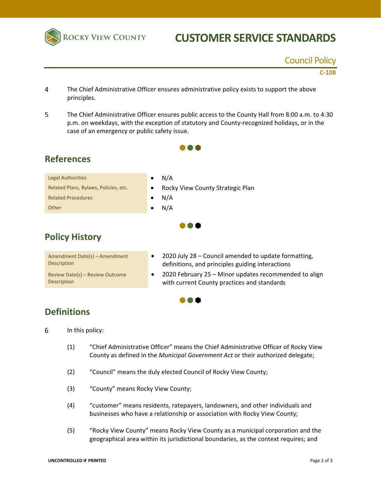

# **CUSTOMER SERVICE STANDARDS**

### Council Policy

**C‐108**

- $\overline{4}$ The Chief Administrative Officer ensures administrative policy exists to support the above principles.
- 5 The Chief Administrative Officer ensures public access to the County Hall from 8:00 a.m. to 4:30 p.m. on weekdays, with the exception of statutory and County-recognized holidays, or in the case of an emergency or public safety issue.

000

 $\bullet\bullet\bullet$ 

# **References**

| <b>Legal Authorities</b>              | N/A                                |
|---------------------------------------|------------------------------------|
| Related Plans, Bylaws, Policies, etc. | • Rocky View County Strategic Plan |
| <b>Related Procedures</b>             | N/A                                |
| Other                                 | N/A                                |

## **Policy History**

| Amendment Date(s) – Amendment<br><b>Description</b>   |  |
|-------------------------------------------------------|--|
| Review Date(s) - Review Outcome<br><b>Description</b> |  |

- 2020 July 28 Council amended to update formatting, definitions, and principles guiding interactions
- 2020 February 25 Minor updates recommended to align with current County practices and standards

#### $\bullet\bullet\bullet$

## **Definitions**

- 6 In this policy:
	- (1) "Chief Administrative Officer" means the Chief Administrative Officer of Rocky View County as defined in the *Municipal Government Act* or their authorized delegate;
	- (2) "Council" means the duly elected Council of Rocky View County;
	- (3) "County" means Rocky View County;
	- (4) "customer" means residents, ratepayers, landowners, and other individuals and businesses who have a relationship or association with Rocky View County;
	- (5) "Rocky View County" means Rocky View County as a municipal corporation and the geographical area within its jurisdictional boundaries, as the context requires; and